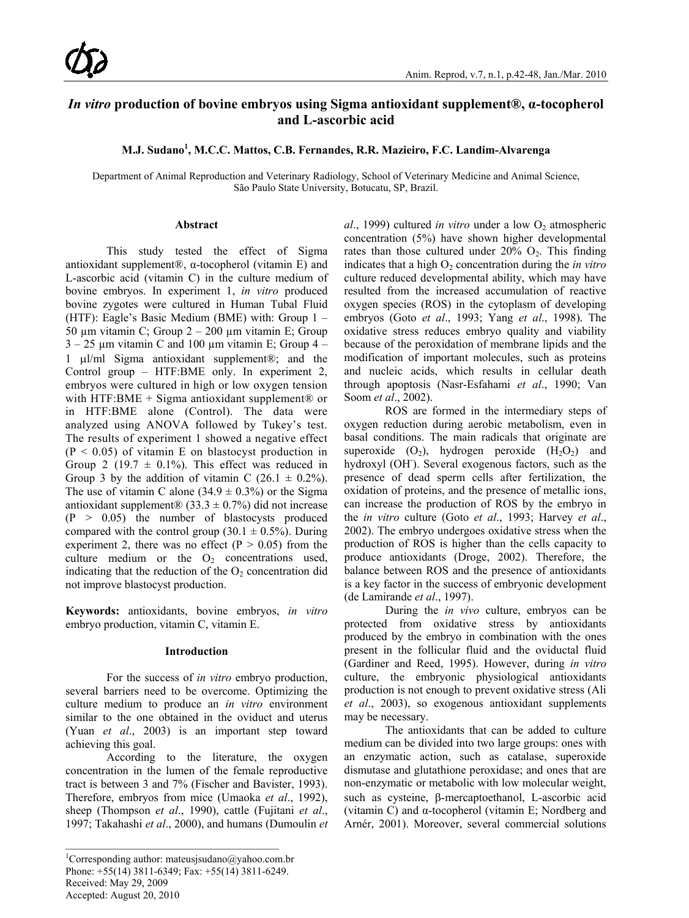# *In vitro* **production of bovine embryos using Sigma antioxidant supplement®, α-tocopherol and L-ascorbic acid**

# **M.J. Sudano<sup>1</sup> , M.C.C. Mattos, C.B. Fernandes, R.R. Mazieiro, F.C. Landim-Alvarenga**

Department of Animal Reproduction and Veterinary Radiology, School of Veterinary Medicine and Animal Science, São Paulo State University, Botucatu, SP, Brazil.

#### **Abstract**

This study tested the effect of Sigma antioxidant supplement®, α-tocopherol (vitamin E) and L-ascorbic acid (vitamin C) in the culture medium of bovine embryos. In experiment 1, *in vitro* produced bovine zygotes were cultured in Human Tubal Fluid (HTF): Eagle's Basic Medium (BME) with: Group 1 – 50 µm vitamin C; Group 2 – 200 µm vitamin E; Group  $3 - 25$  µm vitamin C and 100 µm vitamin E; Group  $4 -$ 1 µl/ml Sigma antioxidant supplement®; and the Control group – HTF:BME only. In experiment 2, embryos were cultured in high or low oxygen tension with HTF:BME + Sigma antioxidant supplement $\circledR$  or in HTF:BME alone (Control). The data were analyzed using ANOVA followed by Tukey's test. The results of experiment 1 showed a negative effect  $(P < 0.05)$  of vitamin E on blastocyst production in Group 2 (19.7  $\pm$  0.1%). This effect was reduced in Group 3 by the addition of vitamin C  $(26.1 \pm 0.2\%)$ . The use of vitamin C alone  $(34.9 \pm 0.3\%)$  or the Sigma antioxidant supplement® (33.3  $\pm$  0.7%) did not increase  $(P > 0.05)$  the number of blastocysts produced compared with the control group (30.1  $\pm$  0.5%). During experiment 2, there was no effect ( $P > 0.05$ ) from the culture medium or the  $O_2$  concentrations used, indicating that the reduction of the  $O<sub>2</sub>$  concentration did not improve blastocyst production.

**Keywords:** antioxidants, bovine embryos, *in vitro* embryo production, vitamin C, vitamin E.

### **Introduction**

For the success of *in vitro* embryo production, several barriers need to be overcome. Optimizing the culture medium to produce an *in vitro* environment similar to the one obtained in the oviduct and uterus (Yuan *et al*., 2003) is an important step toward achieving this goal.

According to the literature, the oxygen concentration in the lumen of the female reproductive tract is between 3 and 7% (Fischer and Bavister, 1993). Therefore, embryos from mice (Umaoka *et al*., 1992), sheep (Thompson *et al*., 1990), cattle (Fujitani *et al*., 1997; Takahashi *et al*., 2000), and humans (Dumoulin *et* 

Accepted: August 20, 2010

*al.*, 1999) cultured *in vitro* under a low O<sub>2</sub> atmospheric concentration (5%) have shown higher developmental rates than those cultured under  $20\%$  O<sub>2</sub>. This finding indicates that a high  $O<sub>2</sub>$  concentration during the *in vitro* culture reduced developmental ability, which may have resulted from the increased accumulation of reactive oxygen species (ROS) in the cytoplasm of developing embryos (Goto *et al*., 1993; Yang *et al*., 1998). The oxidative stress reduces embryo quality and viability because of the peroxidation of membrane lipids and the modification of important molecules, such as proteins and nucleic acids, which results in cellular death through apoptosis (Nasr-Esfahami *et al*., 1990; Van Soom *et al*., 2002).

ROS are formed in the intermediary steps of oxygen reduction during aerobic metabolism, even in basal conditions. The main radicals that originate are superoxide  $(O_2)$ , hydrogen peroxide  $(H_2O_2)$  and hydroxyl (OH). Several exogenous factors, such as the presence of dead sperm cells after fertilization, the oxidation of proteins, and the presence of metallic ions, can increase the production of ROS by the embryo in the *in vitro* culture (Goto *et al*., 1993; Harvey *et al*., 2002). The embryo undergoes oxidative stress when the production of ROS is higher than the cells capacity to produce antioxidants (Droge, 2002). Therefore, the balance between ROS and the presence of antioxidants is a key factor in the success of embryonic development (de Lamirande *et al*., 1997).

During the *in vivo* culture, embryos can be protected from oxidative stress by antioxidants produced by the embryo in combination with the ones present in the follicular fluid and the oviductal fluid (Gardiner and Reed, 1995). However, during *in vitro* culture, the embryonic physiological antioxidants production is not enough to prevent oxidative stress (Ali *et al*., 2003), so exogenous antioxidant supplements may be necessary.

The antioxidants that can be added to culture medium can be divided into two large groups: ones with an enzymatic action, such as catalase, superoxide dismutase and glutathione peroxidase; and ones that are non-enzymatic or metabolic with low molecular weight, such as cysteine, β-mercaptoethanol, L-ascorbic acid (vitamin C) and α-tocopherol (vitamin E; Nordberg and Arnér, 2001). Moreover, several commercial solutions

<sup>&</sup>lt;sup>1</sup>Corresponding author: mateusjsudano@yahoo.com.br Phone: +55(14) 3811-6349; Fax: +55(14) 3811-6249. Received: May 29, 2009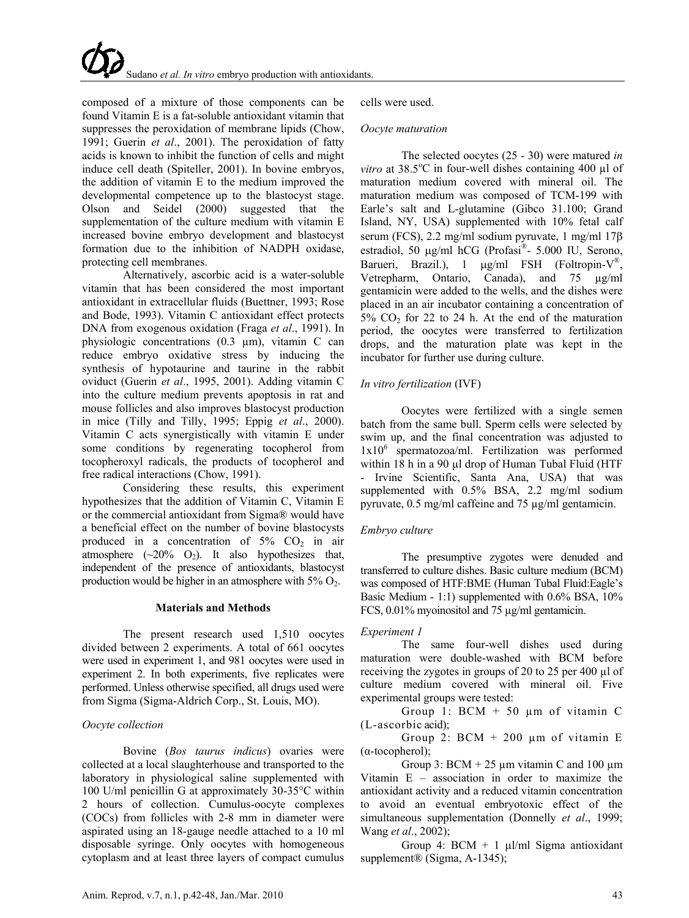composed of a mixture of those components can be found Vitamin E is a fat-soluble antioxidant vitamin that suppresses the peroxidation of membrane lipids (Chow, 1991; Guerin *et al*., 2001). The peroxidation of fatty acids is known to inhibit the function of cells and might induce cell death (Spiteller, 2001). In bovine embryos, the addition of vitamin E to the medium improved the developmental competence up to the blastocyst stage. Olson and Seidel (2000) suggested that the supplementation of the culture medium with vitamin E increased bovine embryo development and blastocyst formation due to the inhibition of NADPH oxidase, protecting cell membranes.

Alternatively, ascorbic acid is a water-soluble vitamin that has been considered the most important antioxidant in extracellular fluids (Buettner, 1993; Rose and Bode, 1993). Vitamin C antioxidant effect protects DNA from exogenous oxidation (Fraga *et al*., 1991). In physiologic concentrations (0.3 µm), vitamin C can reduce embryo oxidative stress by inducing the synthesis of hypotaurine and taurine in the rabbit oviduct (Guerin *et al*., 1995, 2001). Adding vitamin C into the culture medium prevents apoptosis in rat and mouse follicles and also improves blastocyst production in mice (Tilly and Tilly, 1995; Eppig *et al*., 2000). Vitamin C acts synergistically with vitamin E under some conditions by regenerating tocopherol from tocopheroxyl radicals, the products of tocopherol and free radical interactions [\(Chow,](http://www.sciencedirect.com/science?_ob=ArticleURL&_udi=B6T43-4KGG1PR-2&_user=972052&_coverDate=07%2F31%2F2007&_rdoc=1&_fmt=full&_orig=search&_cdi=4963&_sort=d&_docanchor=&view=c&_acct=C000049647&_version=1&_urlVersion=0&_userid=972052&md5=05a624be9d1b575f04d2f23070db442a#bib4) 1991).

Considering these results, this experiment hypothesizes that the addition of Vitamin C, Vitamin E or the commercial antioxidant from Sigma® would have a beneficial effect on the number of bovine blastocysts produced in a concentration of  $5\%$  CO<sub>2</sub> in air atmosphere  $(-20\%$  O<sub>2</sub>). It also hypothesizes that, independent of the presence of antioxidants, blastocyst production would be higher in an atmosphere with  $5\%$  O<sub>2</sub>.

### **Materials and Methods**

The present research used 1,510 oocytes divided between 2 experiments. A total of 661 oocytes were used in experiment 1, and 981 oocytes were used in experiment 2. In both experiments, five replicates were performed. Unless otherwise specified, all drugs used were from Sigma (Sigma-Aldrich Corp., St. Louis, MO).

### *Oocyte collection*

Bovine (*Bos taurus indicus*) ovaries were collected at a local slaughterhouse and transported to the laboratory in physiological saline supplemented with 100 U/ml penicillin G at approximately 30-35°C within 2 hours of collection. Cumulus-oocyte complexes (COCs) from follicles with 2-8 mm in diameter were aspirated using an 18-gauge needle attached to a 10 ml disposable syringe. Only oocytes with homogeneous cytoplasm and at least three layers of compact cumulus

cells were used.

### *Oocyte maturation*

The selected oocytes (25 - 30) were matured *in*  vitro at 38.5°C in four-well dishes containing 400 µl of maturation medium covered with mineral oil. The maturation medium was composed of TCM-199 with Earle's salt and L-glutamine (Gibco 31.100; Grand Island, NY, USA) supplemented with 10% fetal calf serum (FCS), 2.2 mg/ml sodium pyruvate, 1 mg/ml 17β estradiol, 50 µg/ml hCG (Profasi®- 5.000 IU, Serono, Barueri, Brazil.), 1 µg/ml FSH (Foltropin-V<sup>®</sup>, Vetrepharm, Ontario, Canada), and 75 µg/ml gentamicin were added to the wells, and the dishes were placed in an air incubator containing a concentration of  $5\%$  CO<sub>2</sub> for 22 to 24 h. At the end of the maturation period, the oocytes were transferred to fertilization drops, and the maturation plate was kept in the incubator for further use during culture.

# *In vitro fertilization* (IVF)

Oocytes were fertilized with a single semen batch from the same bull. Sperm cells were selected by swim up, and the final concentration was adjusted to  $1x10<sup>6</sup>$  spermatozoa/ml. Fertilization was performed within 18 h in a 90 µl drop of Human Tubal Fluid (HTF - Irvine Scientific, Santa Ana, USA) that was supplemented with 0.5% BSA, 2.2 mg/ml sodium pyruvate, 0.5 mg/ml caffeine and 75 µg/ml gentamicin.

# *Embryo culture*

The presumptive zygotes were denuded and transferred to culture dishes. Basic culture medium (BCM) was composed of HTF:BME (Human Tubal Fluid:Eagle's Basic Medium - 1:1) supplemented with 0.6% BSA, 10% FCS, 0.01% myoinositol and 75 µg/ml gentamicin.

# *Experiment 1*

The same four-well dishes used during maturation were double-washed with BCM before receiving the zygotes in groups of 20 to 25 per 400 µl of culture medium covered with mineral oil. Five experimental groups were tested:

Group 1:  $BCM + 50 \mu m$  of vitamin C (L-ascorbic acid);

Group 2:  $BCM + 200 \mu m$  of vitamin E (α-tocopherol);

Group 3:  $BCM + 25 \mu m$  vitamin C and 100  $\mu$ m Vitamin E – association in order to maximize the antioxidant activity and a reduced vitamin concentration to avoid an eventual embryotoxic effect of the simultaneous supplementation (Donnelly *et al*., 1999; Wang *et al*., 2002);

Group 4:  $BCM + 1$  µl/ml Sigma antioxidant supplement<sup>®</sup> (Sigma, A-1345);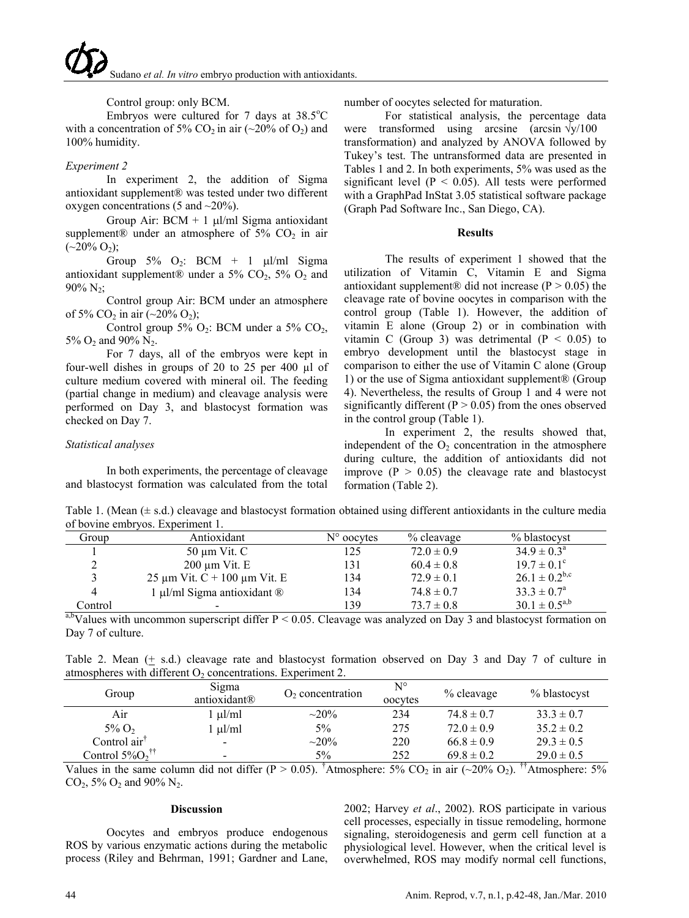# Control group: only BCM.

Embryos were cultured for 7 days at  $38.5^{\circ}$ C with a concentration of 5% CO<sub>2</sub> in air  $(\sim 20\% \text{ of O}_2)$  and 100% humidity.

# *Experiment 2*

In experiment 2, the addition of Sigma antioxidant supplement® was tested under two different oxygen concentrations (5 and  $\sim$ 20%).

Group Air:  $BCM + 1$  ul/ml Sigma antioxidant supplement® under an atmosphere of  $5\%$  CO<sub>2</sub> in air  $({\sim}20\% \text{ O}_2);$ 

Group  $5\%$  O<sub>2</sub>: BCM + 1  $\mu$ l/ml Sigma antioxidant supplement® under a 5%  $CO<sub>2</sub>$ , 5%  $O<sub>2</sub>$  and  $90\% N_2$ ;

Control group Air: BCM under an atmosphere of 5% CO<sub>2</sub> in air  $(\sim 20\% \text{ O}_2)$ ;

Control group 5%  $O_2$ : BCM under a 5%  $CO_2$ , 5%  $O_2$  and 90%  $N_2$ .

For 7 days, all of the embryos were kept in four-well dishes in groups of 20 to 25 per 400 µl of culture medium covered with mineral oil. The feeding (partial change in medium) and cleavage analysis were performed on Day 3, and blastocyst formation was checked on Day 7.

# *Statistical analyses*

In both experiments, the percentage of cleavage and blastocyst formation was calculated from the total

number of oocytes selected for maturation.

For statistical analysis, the percentage data were transformed using arcsine (arcsin  $\sqrt{y}/100$ transformation) and analyzed by ANOVA followed by Tukey's test. The untransformed data are presented in Tables 1 and 2. In both experiments, 5% was used as the significant level ( $P < 0.05$ ). All tests were performed with a GraphPad InStat 3.05 statistical software package (Graph Pad Software Inc., San Diego, CA).

### **Results**

The results of experiment 1 showed that the utilization of Vitamin C, Vitamin E and Sigma antioxidant supplement® did not increase ( $P > 0.05$ ) the cleavage rate of bovine oocytes in comparison with the control group (Table 1). However, the addition of vitamin E alone (Group 2) or in combination with vitamin C (Group 3) was detrimental  $(P < 0.05)$  to embryo development until the blastocyst stage in comparison to either the use of Vitamin C alone (Group 1) or the use of Sigma antioxidant supplement® (Group 4). Nevertheless, the results of Group 1 and 4 were not significantly different ( $P > 0.05$ ) from the ones observed in the control group (Table 1).

In experiment 2, the results showed that, independent of the  $O_2$  concentration in the atmosphere during culture, the addition of antioxidants did not improve  $(P > 0.05)$  the cleavage rate and blastocyst formation (Table 2).

Table 1. (Mean (± s.d.) cleavage and blastocyst formation obtained using different antioxidants in the culture media of bovine embryos. Experiment 1.

| Group   | Antioxidant                            | $N^{\circ}$ oocytes | % cleavage     | % blastocyst           |
|---------|----------------------------------------|---------------------|----------------|------------------------|
|         | $50 \mu m$ Vit. C                      | 125                 | $72.0 \pm 0.9$ | $34.9 \pm 0.3^{\circ}$ |
|         | $200 \mu m$ Vit. E                     | 131                 | $60.4 \pm 0.8$ | $19.7 \pm 0.1^{\circ}$ |
|         | 25 $\mu$ m Vit. C + 100 $\mu$ m Vit. E | 134                 | $72.9 \pm 0.1$ | $26.1 \pm 0.2^{b,c}$   |
|         | 1 µl/ml Sigma antioxidant $\circledR$  | 134                 | $74.8 \pm 0.7$ | $33.3 \pm 0.7^{\circ}$ |
| Control | -                                      | 139                 | $73.7 \pm 0.8$ | $30.1 \pm 0.5^{a,b}$   |

a,bValues with uncommon superscript differ  $P < 0.05$ . Cleavage was analyzed on Day 3 and blastocyst formation on Day 7 of culture.

Table 2. Mean (+ s.d.) cleavage rate and blastocyst formation observed on Day 3 and Day 7 of culture in atmospheres with different  $O<sub>2</sub>$  concentrations. Experiment 2.

| Group                          | Sigma<br>antioxidant® | $O2$ concentration | $\mathrm{N}^\circ$<br>oocytes | % cleavage     | % blastocyst   |
|--------------------------------|-----------------------|--------------------|-------------------------------|----------------|----------------|
| Air                            | $\mu$ l/ml            | $\sim$ 20%         | 234                           | $74.8 \pm 0.7$ | $33.3 \pm 0.7$ |
| $5\%$ O <sub>2</sub>           | ul/ml                 | 5%                 | 275                           | $72.0 \pm 0.9$ | $35.2 \pm 0.2$ |
| Control air <sup>†</sup>       | -                     | $\sim 20\%$        | 220                           | $66.8 \pm 0.9$ | $29.3 \pm 0.5$ |
| Control $5\%O_2$ <sup>††</sup> | $\qquad \qquad$       | $5\%$              | 252                           | $69.8 \pm 0.2$ | $29.0 \pm 0.5$ |

Values in the same column did not differ (P > 0.05). <sup>†</sup>Atmosphere: 5% CO<sub>2</sub> in air (~20% O<sub>2</sub>). <sup>††</sup>Atmosphere: 5%  $CO_2$ , 5%  $O_2$  and 90%  $N_2$ .

# **Discussion**

Oocytes and embryos produce endogenous ROS by various enzymatic actions during the metabolic process (Riley and Behrman, 1991; Gardner and Lane,

2002; Harvey *et al*., 2002). ROS participate in various cell processes, especially in tissue remodeling, hormone signaling, steroidogenesis and germ cell function at a physiological level. However, when the critical level is overwhelmed, ROS may modify normal cell functions,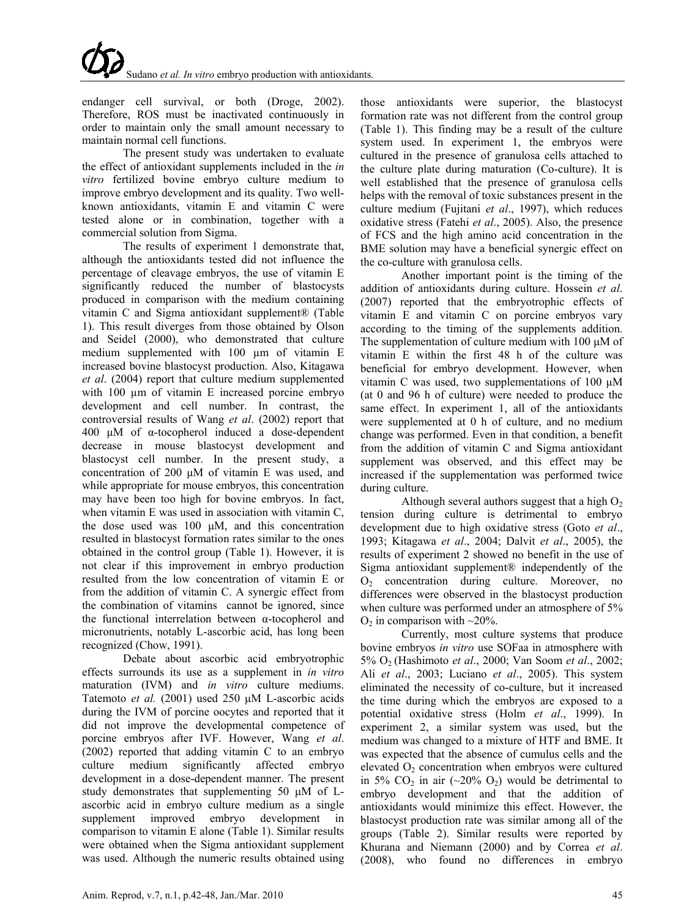endanger cell survival, or both (Droge, 2002). Therefore, ROS must be inactivated continuously in order to maintain only the small amount necessary to maintain normal cell functions.

The present study was undertaken to evaluate the effect of antioxidant supplements included in the *in vitro* fertilized bovine embryo culture medium to improve embryo development and its quality. Two wellknown antioxidants, vitamin E and vitamin C were tested alone or in combination, together with a commercial solution from Sigma.

The results of experiment 1 demonstrate that, although the antioxidants tested did not influence the percentage of cleavage embryos, the use of vitamin E significantly reduced the number of blastocysts produced in comparison with the medium containing vitamin C and Sigma antioxidant supplement® (Table 1). This result diverges from those obtained by Olson and Seidel (2000), who demonstrated that culture medium supplemented with 100 µm of vitamin E increased bovine blastocyst production. Also, Kitagawa *et al*. (2004) report that culture medium supplemented with 100  $\mu$ m of vitamin E increased porcine embryo development and cell number. In contrast, the controversial results of Wang *et al*. (2002) report that 400 μM of α-tocopherol induced a dose-dependent decrease in mouse blastocyst development and blastocyst cell number. In the present study, a concentration of 200 μM of vitamin E was used, and while appropriate for mouse embryos, this concentration may have been too high for bovine embryos. In fact, when vitamin E was used in association with vitamin C, the dose used was 100 μM, and this concentration resulted in blastocyst formation rates similar to the ones obtained in the control group (Table 1). However, it is not clear if this improvement in embryo production resulted from the low concentration of vitamin E or from the addition of vitamin C. A synergic effect from the combination of vitamins cannot be ignored, since the functional interrelation between α-tocopherol and micronutrients, notably L-ascorbic acid, has long been recognized (Chow, 1991).

Debate about ascorbic acid embryotrophic effects surrounds its use as a supplement in *in vitro* maturation (IVM) and *in vitro* culture mediums. Tatemoto *et al.* (2001) used 250 μM L-ascorbic acids during the IVM of porcine oocytes and reported that it did not improve the developmental competence of porcine embryos after IVF. However, Wang *et al*. (2002) reported that adding vitamin C to an embryo culture medium significantly affected embryo development in a dose-dependent manner. The present study demonstrates that supplementing 50 μM of Lascorbic acid in embryo culture medium as a single supplement improved embryo development in comparison to vitamin E alone (Table 1). Similar results were obtained when the Sigma antioxidant supplement was used. Although the numeric results obtained using

those antioxidants were superior, the blastocyst formation rate was not different from the control group (Table 1). This finding may be a result of the culture system used. In experiment 1, the embryos were cultured in the presence of granulosa cells attached to the culture plate during maturation (Co-culture). It is well established that the presence of granulosa cells helps with the removal of toxic substances present in the culture medium (Fujitani *et al*., 1997), which reduces oxidative stress (Fatehi *et al*., 2005). Also, the presence of FCS and the high amino acid concentration in the BME solution may have a beneficial synergic effect on the co-culture with granulosa cells.

Another important point is the timing of the addition of antioxidants during culture. Hossein *et al*. (2007) reported that the embryotrophic effects of vitamin E and vitamin C on porcine embryos vary according to the timing of the supplements addition. The supplementation of culture medium with 100 μM of vitamin E within the first 48 h of the culture was beneficial for embryo development. However, when vitamin C was used, two supplementations of 100 μM (at 0 and 96 h of culture) were needed to produce the same effect. In experiment 1, all of the antioxidants were supplemented at 0 h of culture, and no medium change was performed. Even in that condition, a benefit from the addition of vitamin C and Sigma antioxidant supplement was observed, and this effect may be increased if the supplementation was performed twice during culture.

Although several authors suggest that a high  $O<sub>2</sub>$ tension during culture is detrimental to embryo development due to high oxidative stress (Goto *et al*., 1993; Kitagawa *et al*., 2004; Dalvit *et al*., 2005), the results of experiment 2 showed no benefit in the use of Sigma antioxidant supplement® independently of the O2 concentration during culture. Moreover, no differences were observed in the blastocyst production when culture was performed under an atmosphere of 5%  $O<sub>2</sub>$  in comparison with  $\sim$ 20%.

Currently, most culture systems that produce bovine embryos *in vitro* use SOFaa in atmosphere with 5% O2 (Hashimoto *et al*., 2000; Van Soom *et al*., 2002; Ali *et al*., 2003; Luciano *et al*., 2005). This system eliminated the necessity of co-culture, but it increased the time during which the embryos are exposed to a potential oxidative stress (Holm *et al*., 1999). In experiment 2, a similar system was used, but the medium was changed to a mixture of HTF and BME. It was expected that the absence of cumulus cells and the elevated  $O_2$  concentration when embryos were cultured in 5%  $CO<sub>2</sub>$  in air (~20%  $O<sub>2</sub>$ ) would be detrimental to embryo development and that the addition of antioxidants would minimize this effect. However, the blastocyst production rate was similar among all of the groups (Table 2). Similar results were reported by Khurana and Niemann (2000) and by Correa *et al*. (2008), who found no differences in embryo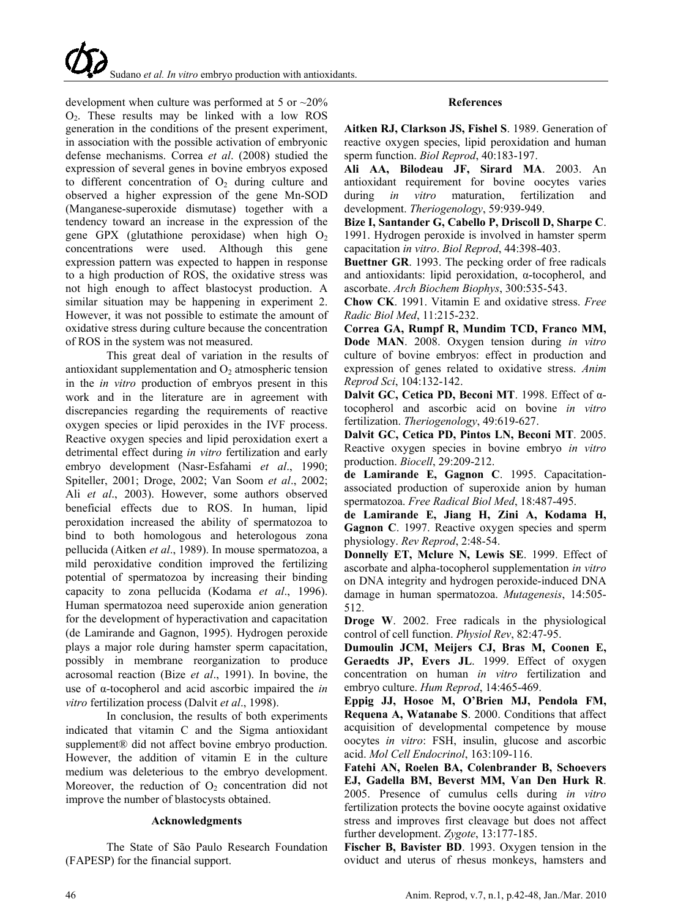development when culture was performed at 5 or  $\sim$ 20%  $O<sub>2</sub>$ . These results may be linked with a low ROS generation in the conditions of the present experiment, in association with the possible activation of embryonic defense mechanisms. Correa *et al*. (2008) studied the expression of several genes in bovine embryos exposed to different concentration of  $O<sub>2</sub>$  during culture and observed a higher expression of the gene Mn-SOD (Manganese-superoxide dismutase) together with a tendency toward an increase in the expression of the gene GPX (glutathione peroxidase) when high  $O<sub>2</sub>$ concentrations were used. Although this gene expression pattern was expected to happen in response to a high production of ROS, the oxidative stress was not high enough to affect blastocyst production. A similar situation may be happening in experiment 2. However, it was not possible to estimate the amount of oxidative stress during culture because the concentration of ROS in the system was not measured.

This great deal of variation in the results of antioxidant supplementation and  $O_2$  atmospheric tension in the *in vitro* production of embryos present in this work and in the literature are in agreement with discrepancies regarding the requirements of reactive oxygen species or lipid peroxides in the IVF process. Reactive oxygen species and lipid peroxidation exert a detrimental effect during *in vitro* fertilization and early embryo development (Nasr-Esfahami *et al*., 1990; Spiteller, 2001; Droge, 2002; Van Soom *et al*., 2002; Ali *et al*., 2003). However, some authors observed beneficial effects due to ROS. In human, lipid peroxidation increased the ability of spermatozoa to bind to both homologous and heterologous zona pellucida (Aitken *et al*., 1989). In mouse spermatozoa, a mild peroxidative condition improved the fertilizing potential of spermatozoa by increasing their binding capacity to zona pellucida (Kodama *et al*., 1996). Human spermatozoa need superoxide anion generation for the development of hyperactivation and capacitation (de Lamirande and Gagnon, 1995). Hydrogen peroxide plays a major role during hamster sperm capacitation, possibly in membrane reorganization to produce acrosomal reaction (Bize *et al*., 1991). In bovine, the use of α-tocopherol and acid ascorbic impaired the *in vitro* fertilization process (Dalvit *et al*., 1998).

In conclusion, the results of both experiments indicated that vitamin C and the Sigma antioxidant supplement<sup>®</sup> did not affect bovine embryo production. However, the addition of vitamin E in the culture medium was deleterious to the embryo development. Moreover, the reduction of  $O<sub>2</sub>$  concentration did not improve the number of blastocysts obtained.

### **Acknowledgments**

The State of São Paulo Research Foundation (FAPESP) for the financial support.

# **References**

**Aitken RJ, Clarkson JS, Fishel S**. 1989. Generation of reactive oxygen species, lipid peroxidation and human sperm function. *Biol Reprod*, 40:183-197.

**Ali AA, Bilodeau JF, Sirard MA**. 2003. An antioxidant requirement for bovine oocytes varies during *in vitro* maturation, fertilization and development. *Theriogenology*, 59:939-949.

**Bize I, Santander G, Cabello P, Driscoll D, Sharpe C**. 1991. Hydrogen peroxide is involved in hamster sperm capacitation *in vitro*. *Biol Reprod*, 44:398-403.

**Buettner GR**. 1993. The pecking order of free radicals and antioxidants: lipid peroxidation, α-tocopherol, and ascorbate. *Arch Biochem Biophys*, 300:535-543.

**Chow CK**. 1991. Vitamin E and oxidative stress. *Free Radic Biol Med*, 11:215-232.

**Correa GA, Rumpf R, Mundim TCD, Franco MM, Dode MAN**. 2008. Oxygen tension during *in vitro* culture of bovine embryos: effect in production and expression of genes related to oxidative stress. *Anim Reprod Sci*, 104:132-142.

**Dalvit GC, Cetica PD, Beconi MT**. 1998. Effect of αtocopherol and ascorbic acid on bovine *in vitro* fertilization. *Theriogenology*, 49:619-627.

**Dalvit GC, Cetica PD, Pintos LN, Beconi MT**. 2005. Reactive oxygen species in bovine embryo *in vitro* production. *Biocell*, 29:209-212.

**de Lamirande E, Gagnon C**. 1995. Capacitationassociated production of superoxide anion by human spermatozoa. *Free Radical Biol Med*, 18:487-495.

**de Lamirande E, Jiang H, Zini A, Kodama H, Gagnon C**. 1997. Reactive oxygen species and sperm physiology. *Rev Reprod*, 2:48-54.

**Donnelly ET, Mclure N, Lewis SE**. 1999. Effect of ascorbate and alpha-tocopherol supplementation *in vitro* on DNA integrity and hydrogen peroxide-induced DNA damage in human spermatozoa. *Mutagenesis*, 14:505- 512.

**Droge W**. 2002. Free radicals in the physiological control of cell function. *Physiol Rev*, 82:47-95.

**Dumoulin JCM, Meijers CJ, Bras M, Coonen E, Geraedts JP, Evers JL**. 1999. Effect of oxygen concentration on human *in vitro* fertilization and embryo culture. *Hum Reprod*, 14:465-469.

**Eppig JJ, Hosoe M, O'Brien MJ, Pendola FM, Requena A, Watanabe S**. 2000. Conditions that affect acquisition of developmental competence by mouse oocytes *in vitro*: FSH, insulin, glucose and ascorbic acid. *Mol Cell Endocrinol*, 163:109-116.

**Fatehi AN, Roelen BA, Colenbrander B, Schoevers EJ, Gadella BM, Beverst MM, Van Den Hurk R**. 2005. Presence of cumulus cells during *in vitro* fertilization protects the bovine oocyte against oxidative stress and improves first cleavage but does not affect further development. *Zygote*, 13:177-185.

**Fischer B, Bavister BD**. 1993. Oxygen tension in the oviduct and uterus of rhesus monkeys, hamsters and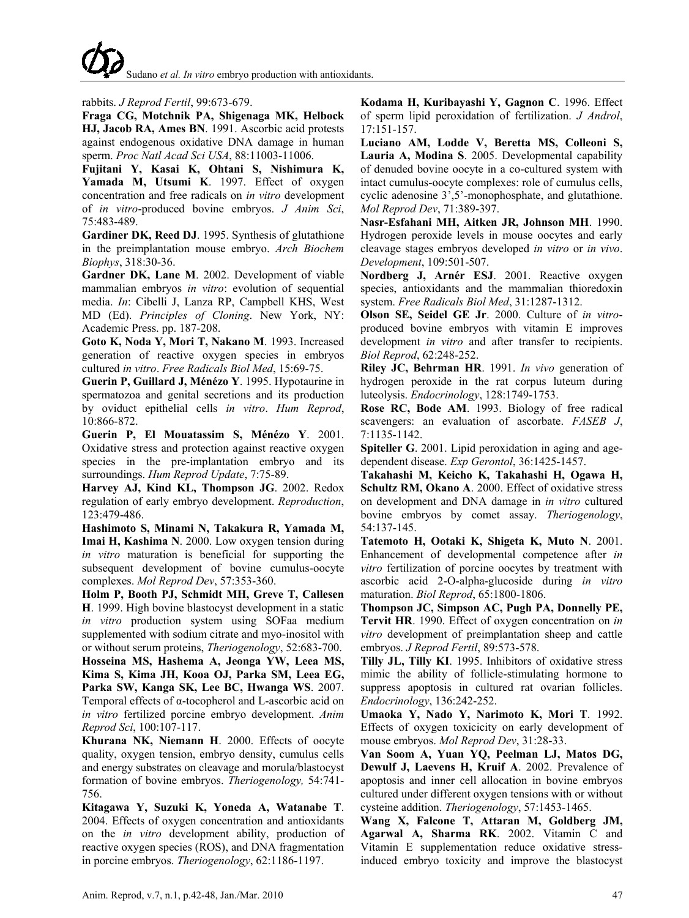# rabbits. *J Reprod Fertil*, 99:673-679.

**Fraga CG, Motchnik PA, Shigenaga MK, Helbock HJ, Jacob RA, Ames BN**. 1991. Ascorbic acid protests against endogenous oxidative DNA damage in human sperm. *Proc Natl Acad Sci USA*, 88:11003-11006.

**Fujitani Y, Kasai K, Ohtani S, Nishimura K, Yamada M, Utsumi K**. 1997. Effect of oxygen concentration and free radicals on *in vitro* development of *in vitro*-produced bovine embryos. *J Anim Sci*, 75:483-489.

**Gardiner DK, Reed DJ**. 1995. Synthesis of glutathione in the preimplantation mouse embryo. *Arch Biochem Biophys*, 318:30-36.

**Gardner DK, Lane M**. 2002. Development of viable mammalian embryos *in vitro*: evolution of sequential media. *In*: Cibelli J, Lanza RP, Campbell KHS, West MD (Ed). *Principles of Cloning*. New York, NY: Academic Press. pp. 187-208.

**Goto K, Noda Y, Mori T, Nakano M**. 1993. Increased generation of reactive oxygen species in embryos cultured *in vitro*. *Free Radicals Biol Med*, 15:69-75.

**Guerin P, Guillard J, Ménézo Y**. 1995. Hypotaurine in spermatozoa and genital secretions and its production by oviduct epithelial cells *in vitro*. *Hum Reprod*, 10:866-872.

**Guerin P, El Mouatassim S, Ménézo Y**. 2001. Oxidative stress and protection against reactive oxygen species in the pre-implantation embryo and its surroundings. *Hum Reprod Update*, 7:75-89.

**Harvey AJ, Kind KL, Thompson JG**. 2002. Redox regulation of early embryo development. *Reproduction*, 123:479-486.

**Hashimoto S, Minami N, Takakura R, Yamada M, Imai H, Kashima N**. 2000. Low oxygen tension during *in vitro* maturation is beneficial for supporting the subsequent development of bovine cumulus-oocyte complexes. *Mol Reprod Dev*, 57:353-360.

**Holm P, Booth PJ, Schmidt MH, Greve T, Callesen H**. 1999. High bovine blastocyst development in a static *in vitro* production system using SOFaa medium supplemented with sodium citrate and myo-inositol with or without serum proteins, *Theriogenology*, 52:683-700.

**Hossei[na](http://www.sciencedirect.com/science?_ob=ArticleURL&_udi=B6T43-4KGG1PR-2&_user=972052&_coverDate=07%2F31%2F2007&_rdoc=12&_fmt=high&_orig=browse&_srch=doc-info(%23toc%234963%232007%23998999998%23651238%23FLA%23display%23Volume)&_cdi=4963&_sort=d&_docanchor=&_ct=23&_acct=C000049647&_version=1&_urlVersion=0&_userid=972052&md5=af322dc25dd3d752336234c022c1dfc1#implicit0) MS, Hashe[ma](http://www.sciencedirect.com/science?_ob=ArticleURL&_udi=B6T43-4KGG1PR-2&_user=972052&_coverDate=07%2F31%2F2007&_rdoc=12&_fmt=high&_orig=browse&_srch=doc-info(%23toc%234963%232007%23998999998%23651238%23FLA%23display%23Volume)&_cdi=4963&_sort=d&_docanchor=&_ct=23&_acct=C000049647&_version=1&_urlVersion=0&_userid=972052&md5=af322dc25dd3d752336234c022c1dfc1#implicit0) A, Jeon[ga](http://www.sciencedirect.com/science?_ob=ArticleURL&_udi=B6T43-4KGG1PR-2&_user=972052&_coverDate=07%2F31%2F2007&_rdoc=12&_fmt=high&_orig=browse&_srch=doc-info(%23toc%234963%232007%23998999998%23651238%23FLA%23display%23Volume)&_cdi=4963&_sort=d&_docanchor=&_ct=23&_acct=C000049647&_version=1&_urlVersion=0&_userid=972052&md5=af322dc25dd3d752336234c022c1dfc1#implicit0) YW, Le[ea](http://www.sciencedirect.com/science?_ob=ArticleURL&_udi=B6T43-4KGG1PR-2&_user=972052&_coverDate=07%2F31%2F2007&_rdoc=12&_fmt=high&_orig=browse&_srch=doc-info(%23toc%234963%232007%23998999998%23651238%23FLA%23display%23Volume)&_cdi=4963&_sort=d&_docanchor=&_ct=23&_acct=C000049647&_version=1&_urlVersion=0&_userid=972052&md5=af322dc25dd3d752336234c022c1dfc1#implicit0) MS, Ki[ma](http://www.sciencedirect.com/science?_ob=ArticleURL&_udi=B6T43-4KGG1PR-2&_user=972052&_coverDate=07%2F31%2F2007&_rdoc=12&_fmt=high&_orig=browse&_srch=doc-info(%23toc%234963%232007%23998999998%23651238%23FLA%23display%23Volume)&_cdi=4963&_sort=d&_docanchor=&_ct=23&_acct=C000049647&_version=1&_urlVersion=0&_userid=972052&md5=af322dc25dd3d752336234c022c1dfc1#implicit0) S, Ki[ma](http://www.sciencedirect.com/science?_ob=ArticleURL&_udi=B6T43-4KGG1PR-2&_user=972052&_coverDate=07%2F31%2F2007&_rdoc=12&_fmt=high&_orig=browse&_srch=doc-info(%23toc%234963%232007%23998999998%23651238%23FLA%23display%23Volume)&_cdi=4963&_sort=d&_docanchor=&_ct=23&_acct=C000049647&_version=1&_urlVersion=0&_userid=972052&md5=af322dc25dd3d752336234c022c1dfc1#implicit0) JH, Ko[oa](http://www.sciencedirect.com/science?_ob=ArticleURL&_udi=B6T43-4KGG1PR-2&_user=972052&_coverDate=07%2F31%2F2007&_rdoc=12&_fmt=high&_orig=browse&_srch=doc-info(%23toc%234963%232007%23998999998%23651238%23FLA%23display%23Volume)&_cdi=4963&_sort=d&_docanchor=&_ct=23&_acct=C000049647&_version=1&_urlVersion=0&_userid=972052&md5=af322dc25dd3d752336234c022c1dfc1#implicit0) OJ, Par[ka](http://www.sciencedirect.com/science?_ob=ArticleURL&_udi=B6T43-4KGG1PR-2&_user=972052&_coverDate=07%2F31%2F2007&_rdoc=12&_fmt=high&_orig=browse&_srch=doc-info(%23toc%234963%232007%23998999998%23651238%23FLA%23display%23Volume)&_cdi=4963&_sort=d&_docanchor=&_ct=23&_acct=C000049647&_version=1&_urlVersion=0&_userid=972052&md5=af322dc25dd3d752336234c022c1dfc1#implicit0) SM, Le[ea](http://www.sciencedirect.com/science?_ob=ArticleURL&_udi=B6T43-4KGG1PR-2&_user=972052&_coverDate=07%2F31%2F2007&_rdoc=12&_fmt=high&_orig=browse&_srch=doc-info(%23toc%234963%232007%23998999998%23651238%23FLA%23display%23Volume)&_cdi=4963&_sort=d&_docanchor=&_ct=23&_acct=C000049647&_version=1&_urlVersion=0&_userid=972052&md5=af322dc25dd3d752336234c022c1dfc1#implicit0) EG, Par[ka](http://www.sciencedirect.com/science?_ob=ArticleURL&_udi=B6T43-4KGG1PR-2&_user=972052&_coverDate=07%2F31%2F2007&_rdoc=12&_fmt=high&_orig=browse&_srch=doc-info(%23toc%234963%232007%23998999998%23651238%23FLA%23display%23Volume)&_cdi=4963&_sort=d&_docanchor=&_ct=23&_acct=C000049647&_version=1&_urlVersion=0&_userid=972052&md5=af322dc25dd3d752336234c022c1dfc1#implicit0) SW, Kan[ga](http://www.sciencedirect.com/science?_ob=ArticleURL&_udi=B6T43-4KGG1PR-2&_user=972052&_coverDate=07%2F31%2F2007&_rdoc=12&_fmt=high&_orig=browse&_srch=doc-info(%23toc%234963%232007%23998999998%23651238%23FLA%23display%23Volume)&_cdi=4963&_sort=d&_docanchor=&_ct=23&_acct=C000049647&_version=1&_urlVersion=0&_userid=972052&md5=af322dc25dd3d752336234c022c1dfc1#implicit0) SK, Lee BC, Hwan[ga](http://www.sciencedirect.com/science?_ob=ArticleURL&_udi=B6T43-4KGG1PR-2&_user=972052&_coverDate=07%2F31%2F2007&_rdoc=12&_fmt=high&_orig=browse&_srch=doc-info(%23toc%234963%232007%23998999998%23651238%23FLA%23display%23Volume)&_cdi=4963&_sort=d&_docanchor=&_ct=23&_acct=C000049647&_version=1&_urlVersion=0&_userid=972052&md5=af322dc25dd3d752336234c022c1dfc1#implicit0) WS**. 2007. Temporal effects of α-tocopherol and L-ascorbic acid on *in vitro* fertilized porcine embryo development. *Anim Reprod Sci*, 100:107-117.

**Khurana NK, Niemann H**. 2000. Effects of oocyte quality, oxygen tension, embryo density, cumulus cells and energy substrates on cleavage and morula/blastocyst formation of bovine embryos. *Theriogenology,* 54:741- 756.

**Kitagawa Y, Suzuki K, Yoneda A, Watanabe T**. 2004. Effects of oxygen concentration and antioxidants on the *in vitro* development ability, production of reactive oxygen species (ROS), and DNA fragmentation in porcine embryos. *Theriogenology*, 62:1186-1197.

**Kodama H, Kuribayashi Y, Gagnon C**. 1996. Effect of sperm lipid peroxidation of fertilization. *J Androl*, 17:151-157.

**Luciano AM, Lodde V, Beretta MS, Colleoni S, Lauria A, Modina S**. 2005. Developmental capability of denuded bovine oocyte in a co-cultured system with intact cumulus-oocyte complexes: role of cumulus cells, cyclic adenosine 3',5'-monophosphate, and glutathione. *Mol Reprod Dev*, 71:389-397.

**Nasr-Esfahani MH, Aitken JR, Johnson MH**. 1990. Hydrogen peroxide levels in mouse oocytes and early cleavage stages embryos developed *in vitro* or *in vivo*. *Development*, 109:501-507.

**Nordberg J, Arnér ESJ**. 2001. Reactive oxygen species, antioxidants and the mammalian thioredoxin system. *Free Radicals Biol Med*, 31:1287-1312.

**Olson SE, Seidel GE Jr**. 2000. Culture of *in vitro*produced bovine embryos with vitamin E improves development *in vitro* and after transfer to recipients. *Biol Reprod*, 62:248-252.

**Riley JC, Behrman HR**. 1991. *In vivo* generation of hydrogen peroxide in the rat corpus luteum during luteolysis. *Endocrinology*, 128:1749-1753.

**Rose RC, Bode AM**. 1993. Biology of free radical scavengers: an evaluation of ascorbate. *FASEB J*, 7:1135-1142.

**Spiteller G**. 2001. Lipid peroxidation in aging and agedependent disease. *Exp Gerontol*, 36:1425-1457.

**Takahashi M, Keicho K, Takahashi H, Ogawa H,**  Schultz RM, Okano A. 2000. Effect of oxidative stress on development and DNA damage in *in vitro* cultured bovine embryos by comet assay. *Theriogenology*, 54:137-145.

**Tatemoto H, Ootaki K, Shigeta K, Muto N**. 2001. Enhancement of developmental competence after *in vitro* fertilization of porcine oocytes by treatment with ascorbic acid 2-O-alpha-glucoside during *in vitro* maturation. *Biol Reprod*, 65:1800-1806.

**Thompson JC, Simpson AC, Pugh PA, Donnelly PE, Tervit HR**. 1990. Effect of oxygen concentration on *in vitro* development of preimplantation sheep and cattle embryos. *J Reprod Fertil*, 89:573-578.

**Tilly JL, Tilly KI**. 1995. Inhibitors of oxidative stress mimic the ability of follicle-stimulating hormone to suppress apoptosis in cultured rat ovarian follicles. *Endocrinology*, 136:242-252.

**Umaoka Y, Nado Y, Narimoto K, Mori T**. 1992. Effects of oxygen toxicicity on early development of mouse embryos. *Mol Reprod Dev*, 31:28-33.

**Van Soom A, Yuan YQ, Peelman LJ, Matos DG, Dewulf J, Laevens H, Kruif A**. 2002. Prevalence of apoptosis and inner cell allocation in bovine embryos cultured under different oxygen tensions with or without cysteine addition. *Theriogenology*, 57:1453-1465.

**Wang X, Falcone T, Attaran M, Goldberg JM, Agarwal A, Sharma RK**. 2002. Vitamin C and Vitamin E supplementation reduce oxidative stressinduced embryo toxicity and improve the blastocyst